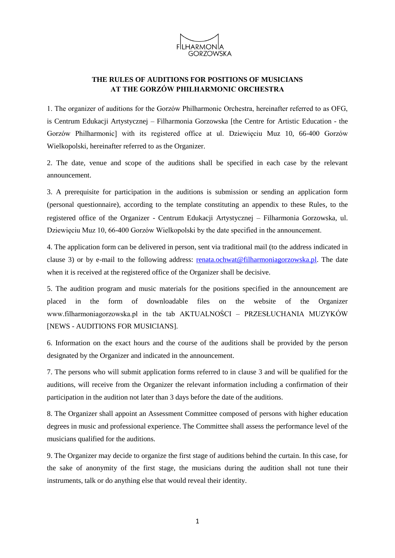

## **THE RULES OF AUDITIONS FOR POSITIONS OF MUSICIANS AT THE GORZÓW PHILHARMONIC ORCHESTRA**

1. The organizer of auditions for the Gorzów Philharmonic Orchestra, hereinafter referred to as OFG, is Centrum Edukacji Artystycznej – Filharmonia Gorzowska [the Centre for Artistic Education - the Gorzów Philharmonic] with its registered office at ul. Dziewięciu Muz 10, 66-400 Gorzów Wielkopolski, hereinafter referred to as the Organizer.

2. The date, venue and scope of the auditions shall be specified in each case by the relevant announcement.

3. A prerequisite for participation in the auditions is submission or sending an application form (personal questionnaire), according to the template constituting an appendix to these Rules, to the registered office of the Organizer - Centrum Edukacji Artystycznej – Filharmonia Gorzowska, ul. Dziewięciu Muz 10, 66-400 Gorzów Wielkopolski by the date specified in the announcement.

4. The application form can be delivered in person, sent via traditional mail (to the address indicated in clause 3) or by e-mail to the following address: [renata.ochwat@filharmoniagorzowska.pl.](mailto:renata.ochwat@filharmoniagorzowska.pl) The date when it is received at the registered office of the Organizer shall be decisive.

5. The audition program and music materials for the positions specified in the announcement are placed in the form of downloadable files on the website of the Organizer www.filharmoniagorzowska.pl in the tab AKTUALNOŚCI – PRZESŁUCHANIA MUZYKÓW [NEWS - AUDITIONS FOR MUSICIANS].

6. Information on the exact hours and the course of the auditions shall be provided by the person designated by the Organizer and indicated in the announcement.

7. The persons who will submit application forms referred to in clause 3 and will be qualified for the auditions, will receive from the Organizer the relevant information including a confirmation of their participation in the audition not later than 3 days before the date of the auditions.

8. The Organizer shall appoint an Assessment Committee composed of persons with higher education degrees in music and professional experience. The Committee shall assess the performance level of the musicians qualified for the auditions.

9. The Organizer may decide to organize the first stage of auditions behind the curtain. In this case, for the sake of anonymity of the first stage, the musicians during the audition shall not tune their instruments, talk or do anything else that would reveal their identity.